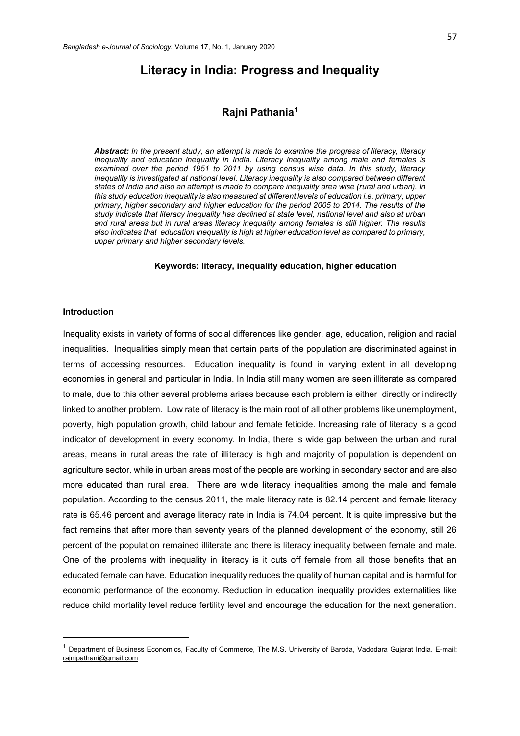# **Literacy in India: Progress and Inequality**

# **Rajni Pathania<sup>1</sup>**

*Abstract: In the present study, an attempt is made to examine the progress of literacy, literacy inequality and education inequality in India. Literacy inequality among male and females is examined over the period 1951 to 2011 by using census wise data. In this study, literacy inequality is investigated at national level. Literacy inequality is also compared between different states of India and also an attempt is made to compare inequality area wise (rural and urban). In this study education inequality is also measured at different levels of education i.e. primary, upper primary, higher secondary and higher education for the period 2005 to 2014. The results of the study indicate that literacy inequality has declined at state level, national level and also at urban and rural areas but in rural areas literacy inequality among females is still higher. The results also indicates that education inequality is high at higher education level as compared to primary, upper primary and higher secondary levels.*

#### **Keywords: literacy, inequality education, higher education**

#### **Introduction**

 $\overline{a}$ 

Inequality exists in variety of forms of social differences like gender, age, education, religion and racial inequalities. Inequalities simply mean that certain parts of the population are discriminated against in terms of accessing resources. Education inequality is found in varying extent in all developing economies in general and particular in India. In India still many women are seen illiterate as compared to male, due to this other several problems arises because each problem is either directly or indirectly linked to another problem. Low rate of literacy is the main root of all other problems like unemployment, poverty, high population growth, child labour and female feticide. Increasing rate of literacy is a good indicator of development in every economy. In India, there is wide gap between the urban and rural areas, means in rural areas the rate of illiteracy is high and majority of population is dependent on agriculture sector, while in urban areas most of the people are working in secondary sector and are also more educated than rural area. There are wide literacy inequalities among the male and female population. According to the census 2011, the male literacy rate is 82.14 percent and female literacy rate is 65.46 percent and average literacy rate in India is 74.04 percent. It is quite impressive but the fact remains that after more than seventy years of the planned development of the economy, still 26 percent of the population remained illiterate and there is literacy inequality between female and male. One of the problems with inequality in literacy is it cuts off female from all those benefits that an educated female can have. Education inequality reduces the quality of human capital and is harmful for economic performance of the economy. Reduction in education inequality provides externalities like reduce child mortality level reduce fertility level and encourage the education for the next generation.

<sup>&</sup>lt;sup>1</sup> Department of Business Economics, Faculty of Commerce, The M.S. University of Baroda, Vadodara Gujarat India. E-mail: rajnipathani@gmail.com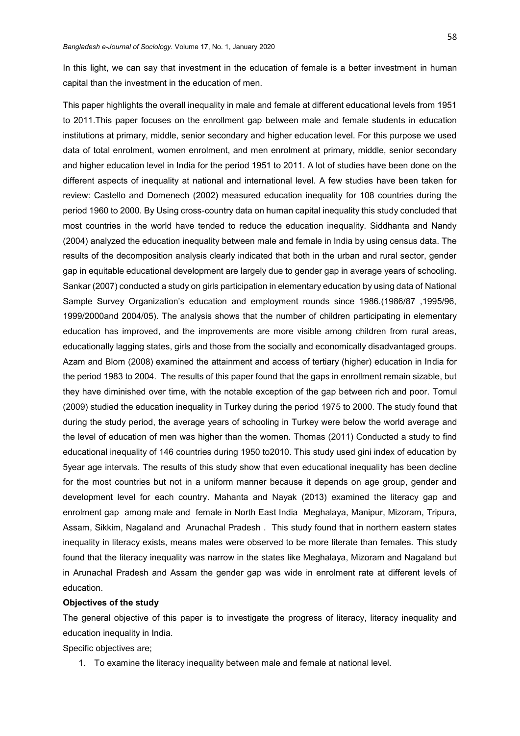In this light, we can say that investment in the education of female is a better investment in human capital than the investment in the education of men.

This paper highlights the overall inequality in male and female at different educational levels from 1951 to 2011.This paper focuses on the enrollment gap between male and female students in education institutions at primary, middle, senior secondary and higher education level. For this purpose we used data of total enrolment, women enrolment, and men enrolment at primary, middle, senior secondary and higher education level in India for the period 1951 to 2011. A lot of studies have been done on the different aspects of inequality at national and international level. A few studies have been taken for review: Castello and Domenech (2002) measured education inequality for 108 countries during the period 1960 to 2000. By Using cross-country data on human capital inequality this study concluded that most countries in the world have tended to reduce the education inequality. Siddhanta and Nandy (2004) analyzed the education inequality between male and female in India by using census data. The results of the decomposition analysis clearly indicated that both in the urban and rural sector, gender gap in equitable educational development are largely due to gender gap in average years of schooling. Sankar (2007) conducted a study on girls participation in elementary education by using data of National Sample Survey Organization's education and employment rounds since 1986.(1986/87 ,1995/96, 1999/2000and 2004/05). The analysis shows that the number of children participating in elementary education has improved, and the improvements are more visible among children from rural areas, educationally lagging states, girls and those from the socially and economically disadvantaged groups. Azam and Blom (2008) examined the attainment and access of tertiary (higher) education in India for the period 1983 to 2004. The results of this paper found that the gaps in enrollment remain sizable, but they have diminished over time, with the notable exception of the gap between rich and poor. Tomul (2009) studied the education inequality in Turkey during the period 1975 to 2000. The study found that during the study period, the average years of schooling in Turkey were below the world average and the level of education of men was higher than the women. Thomas (2011) Conducted a study to find educational inequality of 146 countries during 1950 to2010. This study used gini index of education by 5year age intervals. The results of this study show that even educational inequality has been decline for the most countries but not in a uniform manner because it depends on age group, gender and development level for each country. Mahanta and Nayak (2013) examined the literacy gap and enrolment gap among male and female in North East India Meghalaya, Manipur, Mizoram, Tripura, Assam, Sikkim, Nagaland and Arunachal Pradesh . This study found that in northern eastern states inequality in literacy exists, means males were observed to be more literate than females. This study found that the literacy inequality was narrow in the states like Meghalaya, Mizoram and Nagaland but in Arunachal Pradesh and Assam the gender gap was wide in enrolment rate at different levels of education.

### **Objectives of the study**

The general objective of this paper is to investigate the progress of literacy, literacy inequality and education inequality in India.

Specific objectives are;

1. To examine the literacy inequality between male and female at national level.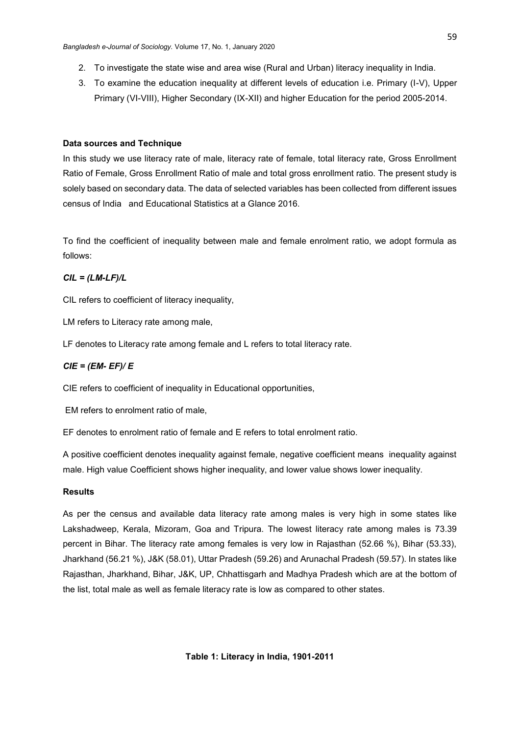- 2. To investigate the state wise and area wise (Rural and Urban) literacy inequality in India.
- 3. To examine the education inequality at different levels of education i.e. Primary (I-V), Upper Primary (VI-VIII), Higher Secondary (IX-XII) and higher Education for the period 2005-2014.

## **Data sources and Technique**

In this study we use literacy rate of male, literacy rate of female, total literacy rate, Gross Enrollment Ratio of Female, Gross Enrollment Ratio of male and total gross enrollment ratio. The present study is solely based on secondary data. The data of selected variables has been collected from different issues census of India and Educational Statistics at a Glance 2016.

To find the coefficient of inequality between male and female enrolment ratio, we adopt formula as follows:

## *CIL = (LM-LF)/L*

CIL refers to coefficient of literacy inequality,

LM refers to Literacy rate among male,

LF denotes to Literacy rate among female and L refers to total literacy rate.

#### *CIE = (EM- EF)/ E*

CIE refers to coefficient of inequality in Educational opportunities,

EM refers to enrolment ratio of male,

EF denotes to enrolment ratio of female and E refers to total enrolment ratio.

A positive coefficient denotes inequality against female, negative coefficient means inequality against male. High value Coefficient shows higher inequality, and lower value shows lower inequality.

## **Results**

As per the census and available data literacy rate among males is very high in some states like Lakshadweep, Kerala, Mizoram, Goa and Tripura. The lowest literacy rate among males is 73.39 percent in Bihar. The literacy rate among females is very low in Rajasthan (52.66 %), Bihar (53.33), Jharkhand (56.21 %), J&K (58.01), Uttar Pradesh (59.26) and Arunachal Pradesh (59.57). In states like Rajasthan, Jharkhand, Bihar, J&K, UP, Chhattisgarh and Madhya Pradesh which are at the bottom of the list, total male as well as female literacy rate is low as compared to other states.

**Table 1: Literacy in India, 1901-2011**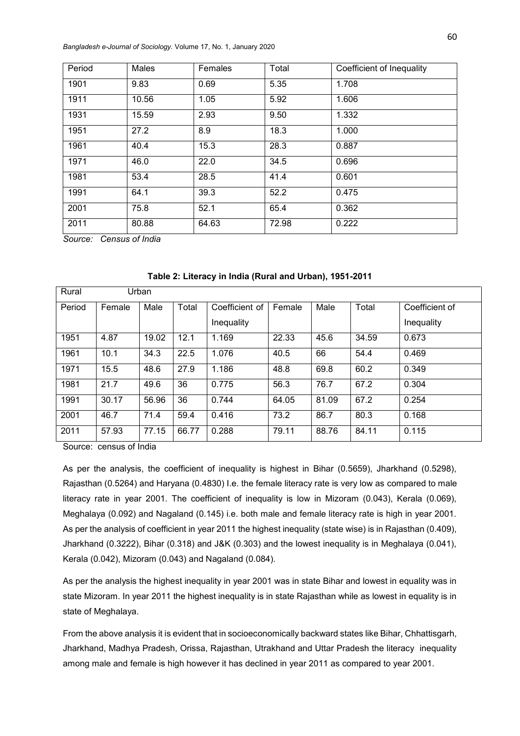*Bangladesh e-Journal of Sociology.* Volume 17, No. 1, January 2020

| Period | Males | Females | Total | Coefficient of Inequality |
|--------|-------|---------|-------|---------------------------|
| 1901   | 9.83  | 0.69    | 5.35  | 1.708                     |
| 1911   | 10.56 | 1.05    | 5.92  | 1.606                     |
| 1931   | 15.59 | 2.93    | 9.50  | 1.332                     |
| 1951   | 27.2  | 8.9     | 18.3  | 1.000                     |
| 1961   | 40.4  | 15.3    | 28.3  | 0.887                     |
| 1971   | 46.0  | 22.0    | 34.5  | 0.696                     |
| 1981   | 53.4  | 28.5    | 41.4  | 0.601                     |
| 1991   | 64.1  | 39.3    | 52.2  | 0.475                     |
| 2001   | 75.8  | 52.1    | 65.4  | 0.362                     |
| 2011   | 80.88 | 64.63   | 72.98 | 0.222                     |

*Source: Census of India*

| Rural  |        | Urban |       |                |        |       |       |                |
|--------|--------|-------|-------|----------------|--------|-------|-------|----------------|
| Period | Female | Male  | Total | Coefficient of | Female | Male  | Total | Coefficient of |
|        |        |       |       | Inequality     |        |       |       | Inequality     |
| 1951   | 4.87   | 19.02 | 12.1  | 1.169          | 22.33  | 45.6  | 34.59 | 0.673          |
| 1961   | 10.1   | 34.3  | 22.5  | 1.076          | 40.5   | 66    | 54.4  | 0.469          |
| 1971   | 15.5   | 48.6  | 27.9  | 1.186          | 48.8   | 69.8  | 60.2  | 0.349          |
| 1981   | 21.7   | 49.6  | 36    | 0.775          | 56.3   | 76.7  | 67.2  | 0.304          |
| 1991   | 30.17  | 56.96 | 36    | 0.744          | 64.05  | 81.09 | 67.2  | 0.254          |
| 2001   | 46.7   | 71.4  | 59.4  | 0.416          | 73.2   | 86.7  | 80.3  | 0.168          |
| 2011   | 57.93  | 77.15 | 66.77 | 0.288          | 79.11  | 88.76 | 84.11 | 0.115          |

**Table 2: Literacy in India (Rural and Urban), 1951-2011**

Source: census of India

As per the analysis, the coefficient of inequality is highest in Bihar (0.5659), Jharkhand (0.5298), Rajasthan (0.5264) and Haryana (0.4830) I.e. the female literacy rate is very low as compared to male literacy rate in year 2001. The coefficient of inequality is low in Mizoram (0.043), Kerala (0.069), Meghalaya (0.092) and Nagaland (0.145) i.e. both male and female literacy rate is high in year 2001. As per the analysis of coefficient in year 2011 the highest inequality (state wise) is in Rajasthan (0.409), Jharkhand (0.3222), Bihar (0.318) and J&K (0.303) and the lowest inequality is in Meghalaya (0.041), Kerala (0.042), Mizoram (0.043) and Nagaland (0.084).

As per the analysis the highest inequality in year 2001 was in state Bihar and lowest in equality was in state Mizoram. In year 2011 the highest inequality is in state Rajasthan while as lowest in equality is in state of Meghalaya.

From the above analysis it is evident that in socioeconomically backward states like Bihar, Chhattisgarh, Jharkhand, Madhya Pradesh, Orissa, Rajasthan, Utrakhand and Uttar Pradesh the literacy inequality among male and female is high however it has declined in year 2011 as compared to year 2001.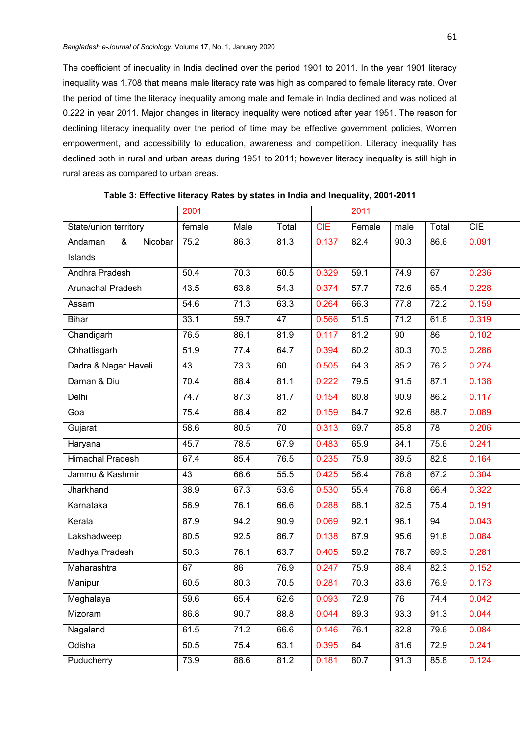The coefficient of inequality in India declined over the period 1901 to 2011. In the year 1901 literacy inequality was 1.708 that means male literacy rate was high as compared to female literacy rate. Over the period of time the literacy inequality among male and female in India declined and was noticed at 0.222 in year 2011. Major changes in literacy inequality were noticed after year 1951. The reason for declining literacy inequality over the period of time may be effective government policies, Women empowerment, and accessibility to education, awareness and competition. Literacy inequality has declined both in rural and urban areas during 1951 to 2011; however literacy inequality is still high in rural areas as compared to urban areas.

|                         | 2001   |      |                 |       | 2011   |      |                 |       |
|-------------------------|--------|------|-----------------|-------|--------|------|-----------------|-------|
| State/union territory   | female | Male | Total           | CIE   | Female | male | Total           | CIE   |
| Andaman<br>&<br>Nicobar | 75.2   | 86.3 | 81.3            | 0.137 | 82.4   | 90.3 | 86.6            | 0.091 |
| Islands                 |        |      |                 |       |        |      |                 |       |
| Andhra Pradesh          | 50.4   | 70.3 | 60.5            | 0.329 | 59.1   | 74.9 | 67              | 0.236 |
| Arunachal Pradesh       | 43.5   | 63.8 | 54.3            | 0.374 | 57.7   | 72.6 | 65.4            | 0.228 |
| Assam                   | 54.6   | 71.3 | 63.3            | 0.264 | 66.3   | 77.8 | 72.2            | 0.159 |
| Bihar                   | 33.1   | 59.7 | 47              | 0.566 | 51.5   | 71.2 | 61.8            | 0.319 |
| Chandigarh              | 76.5   | 86.1 | 81.9            | 0.117 | 81.2   | 90   | 86              | 0.102 |
| Chhattisgarh            | 51.9   | 77.4 | 64.7            | 0.394 | 60.2   | 80.3 | 70.3            | 0.286 |
| Dadra & Nagar Haveli    | 43     | 73.3 | 60              | 0.505 | 64.3   | 85.2 | 76.2            | 0.274 |
| Daman & Diu             | 70.4   | 88.4 | 81.1            | 0.222 | 79.5   | 91.5 | 87.1            | 0.138 |
| Delhi                   | 74.7   | 87.3 | 81.7            | 0.154 | 80.8   | 90.9 | 86.2            | 0.117 |
| Goa                     | 75.4   | 88.4 | 82              | 0.159 | 84.7   | 92.6 | 88.7            | 0.089 |
| Gujarat                 | 58.6   | 80.5 | $\overline{70}$ | 0.313 | 69.7   | 85.8 | $\overline{78}$ | 0.206 |
| Haryana                 | 45.7   | 78.5 | 67.9            | 0.483 | 65.9   | 84.1 | 75.6            | 0.241 |
| <b>Himachal Pradesh</b> | 67.4   | 85.4 | 76.5            | 0.235 | 75.9   | 89.5 | 82.8            | 0.164 |
| Jammu & Kashmir         | 43     | 66.6 | 55.5            | 0.425 | 56.4   | 76.8 | 67.2            | 0.304 |
| Jharkhand               | 38.9   | 67.3 | 53.6            | 0.530 | 55.4   | 76.8 | 66.4            | 0.322 |
| Karnataka               | 56.9   | 76.1 | 66.6            | 0.288 | 68.1   | 82.5 | 75.4            | 0.191 |
| Kerala                  | 87.9   | 94.2 | 90.9            | 0.069 | 92.1   | 96.1 | 94              | 0.043 |
| Lakshadweep             | 80.5   | 92.5 | 86.7            | 0.138 | 87.9   | 95.6 | 91.8            | 0.084 |
| Madhya Pradesh          | 50.3   | 76.1 | 63.7            | 0.405 | 59.2   | 78.7 | 69.3            | 0.281 |
| Maharashtra             | 67     | 86   | 76.9            | 0.247 | 75.9   | 88.4 | 82.3            | 0.152 |
| Manipur                 | 60.5   | 80.3 | 70.5            | 0.281 | 70.3   | 83.6 | 76.9            | 0.173 |
| Meghalaya               | 59.6   | 65.4 | 62.6            | 0.093 | 72.9   | 76   | 74.4            | 0.042 |
| Mizoram                 | 86.8   | 90.7 | 88.8            | 0.044 | 89.3   | 93.3 | 91.3            | 0.044 |
| Nagaland                | 61.5   | 71.2 | 66.6            | 0.146 | 76.1   | 82.8 | 79.6            | 0.084 |
| Odisha                  | 50.5   | 75.4 | 63.1            | 0.395 | 64     | 81.6 | 72.9            | 0.241 |
| Puducherry              | 73.9   | 88.6 | 81.2            | 0.181 | 80.7   | 91.3 | 85.8            | 0.124 |
|                         |        |      |                 |       |        |      |                 |       |

**Table 3: Effective literacy Rates by states in India and Inequality, 2001-2011**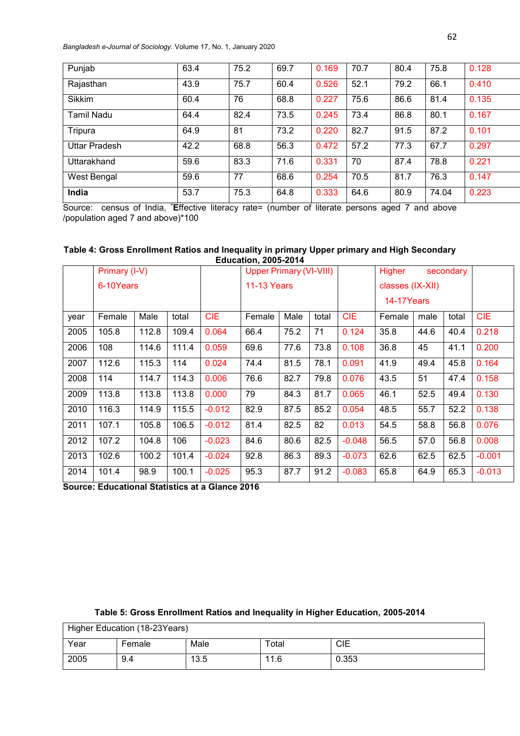*Bangladesh e-Journal of Sociology.* Volume 17, No. 1, January 2020

| Punjab            | 63.4 | 75.2 | 69.7 | 0.169 | 70.7 | 80.4 | 75.8  | 0.128 |
|-------------------|------|------|------|-------|------|------|-------|-------|
| Rajasthan         | 43.9 | 75.7 | 60.4 | 0.526 | 52.1 | 79.2 | 66.1  | 0.410 |
| <b>Sikkim</b>     | 60.4 | 76   | 68.8 | 0.227 | 75.6 | 86.6 | 81.4  | 0.135 |
| <b>Tamil Nadu</b> | 64.4 | 82.4 | 73.5 | 0.245 | 73.4 | 86.8 | 80.1  | 0.167 |
| Tripura           | 64.9 | 81   | 73.2 | 0.220 | 82.7 | 91.5 | 87.2  | 0.101 |
| Uttar Pradesh     | 42.2 | 68.8 | 56.3 | 0.472 | 57.2 | 77.3 | 67.7  | 0.297 |
| Uttarakhand       | 59.6 | 83.3 | 71.6 | 0.331 | 70   | 87.4 | 78.8  | 0.221 |
| West Bengal       | 59.6 | 77   | 68.6 | 0.254 | 70.5 | 81.7 | 76.3  | 0.147 |
| India             | 53.7 | 75.3 | 64.8 | 0.333 | 64.6 | 80.9 | 74.04 | 0.223 |

Source: census of India, **\*E**ffective literacy rate= (number of literate persons aged 7 and above /population aged 7 and above)\*100

## **Table 4: Gross Enrollment Ratios and Inequality in primary Upper primary and High Secondary Education, 2005-2014**

|      | Primary (I-V) |       |       |            | <b>Upper Primary (VI-VIII)</b> |      |       | Higher<br>secondary |                  |      |       |            |
|------|---------------|-------|-------|------------|--------------------------------|------|-------|---------------------|------------------|------|-------|------------|
|      | 6-10Years     |       |       |            | <b>11-13 Years</b>             |      |       |                     | classes (IX-XII) |      |       |            |
|      |               |       |       |            |                                |      |       |                     | 14-17Years       |      |       |            |
| year | Female        | Male  | total | <b>CIE</b> | Female                         | Male | total | <b>CIE</b>          | Female           | male | total | <b>CIE</b> |
| 2005 | 105.8         | 112.8 | 109.4 | 0.064      | 66.4                           | 75.2 | 71    | 0.124               | 35.8             | 44.6 | 40.4  | 0.218      |
| 2006 | 108           | 114.6 | 111.4 | 0.059      | 69.6                           | 77.6 | 73.8  | 0.108               | 36.8             | 45   | 41.1  | 0.200      |
| 2007 | 112.6         | 115.3 | 114   | 0.024      | 74.4                           | 81.5 | 78.1  | 0.091               | 41.9             | 49.4 | 45.8  | 0.164      |
| 2008 | 114           | 114.7 | 114.3 | 0.006      | 76.6                           | 82.7 | 79.8  | 0.076               | 43.5             | 51   | 47.4  | 0.158      |
| 2009 | 113.8         | 113.8 | 113.8 | 0.000      | 79                             | 84.3 | 81.7  | 0.065               | 46.1             | 52.5 | 49.4  | 0.130      |
| 2010 | 116.3         | 114.9 | 115.5 | $-0.012$   | 82.9                           | 87.5 | 85.2  | 0.054               | 48.5             | 55.7 | 52.2  | 0.138      |
| 2011 | 107.1         | 105.8 | 106.5 | $-0.012$   | 81.4                           | 82.5 | 82    | 0.013               | 54.5             | 58.8 | 56.8  | 0.076      |
| 2012 | 107.2         | 104.8 | 106   | $-0.023$   | 84.6                           | 80.6 | 82.5  | $-0.048$            | 56.5             | 57.0 | 56.8  | 0.008      |
| 2013 | 102.6         | 100.2 | 101.4 | $-0.024$   | 92.8                           | 86.3 | 89.3  | $-0.073$            | 62.6             | 62.5 | 62.5  | $-0.001$   |
| 2014 | 101.4         | 98.9  | 100.1 | $-0.025$   | 95.3                           | 87.7 | 91.2  | $-0.083$            | 65.8             | 64.9 | 65.3  | $-0.013$   |

**Source: Educational Statistics at a Glance 2016**

| Higher Education (18-23Years) |        |      |       |       |  |  |  |
|-------------------------------|--------|------|-------|-------|--|--|--|
| Year                          | Female | Male | Total | CIE   |  |  |  |
| 2005                          | 9.4    | 13.5 | 11.6  | 0.353 |  |  |  |

## **Table 5: Gross Enrollment Ratios and Inequality in Higher Education, 2005-2014**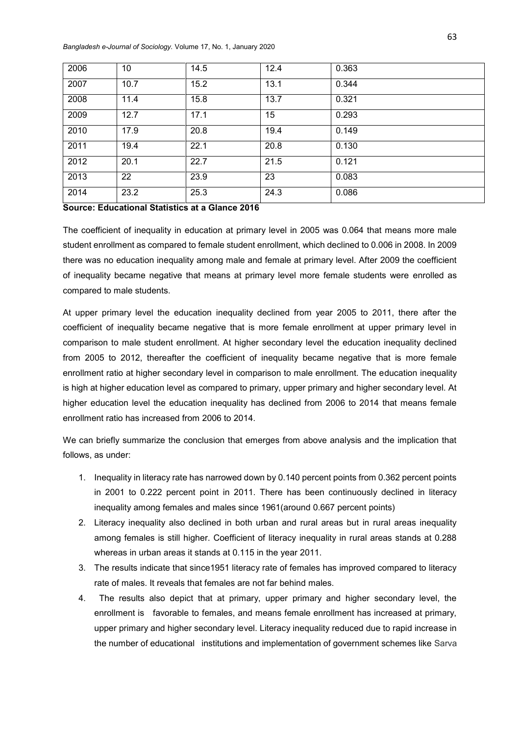*Bangladesh e-Journal of Sociology.* Volume 17, No. 1, January 2020

| 2006 | 10   | 14.5 | 12.4 | 0.363 |
|------|------|------|------|-------|
| 2007 | 10.7 | 15.2 | 13.1 | 0.344 |
| 2008 | 11.4 | 15.8 | 13.7 | 0.321 |
| 2009 | 12.7 | 17.1 | 15   | 0.293 |
| 2010 | 17.9 | 20.8 | 19.4 | 0.149 |
| 2011 | 19.4 | 22.1 | 20.8 | 0.130 |
| 2012 | 20.1 | 22.7 | 21.5 | 0.121 |
| 2013 | 22   | 23.9 | 23   | 0.083 |
| 2014 | 23.2 | 25.3 | 24.3 | 0.086 |

## **Source: Educational Statistics at a Glance 2016**

The coefficient of inequality in education at primary level in 2005 was 0.064 that means more male student enrollment as compared to female student enrollment, which declined to 0.006 in 2008. In 2009 there was no education inequality among male and female at primary level. After 2009 the coefficient of inequality became negative that means at primary level more female students were enrolled as compared to male students.

At upper primary level the education inequality declined from year 2005 to 2011, there after the coefficient of inequality became negative that is more female enrollment at upper primary level in comparison to male student enrollment. At higher secondary level the education inequality declined from 2005 to 2012, thereafter the coefficient of inequality became negative that is more female enrollment ratio at higher secondary level in comparison to male enrollment. The education inequality is high at higher education level as compared to primary, upper primary and higher secondary level. At higher education level the education inequality has declined from 2006 to 2014 that means female enrollment ratio has increased from 2006 to 2014.

We can briefly summarize the conclusion that emerges from above analysis and the implication that follows, as under:

- 1. Inequality in literacy rate has narrowed down by 0.140 percent points from 0.362 percent points in 2001 to 0.222 percent point in 2011. There has been continuously declined in literacy inequality among females and males since 1961(around 0.667 percent points)
- 2. Literacy inequality also declined in both urban and rural areas but in rural areas inequality among females is still higher. Coefficient of literacy inequality in rural areas stands at 0.288 whereas in urban areas it stands at 0.115 in the year 2011.
- 3. The results indicate that since1951 literacy rate of females has improved compared to literacy rate of males. It reveals that females are not far behind males.
- 4. The results also depict that at primary, upper primary and higher secondary level, the enrollment is favorable to females, and means female enrollment has increased at primary, upper primary and higher secondary level. Literacy inequality reduced due to rapid increase in the number of educational institutions and implementation of government schemes like Sarva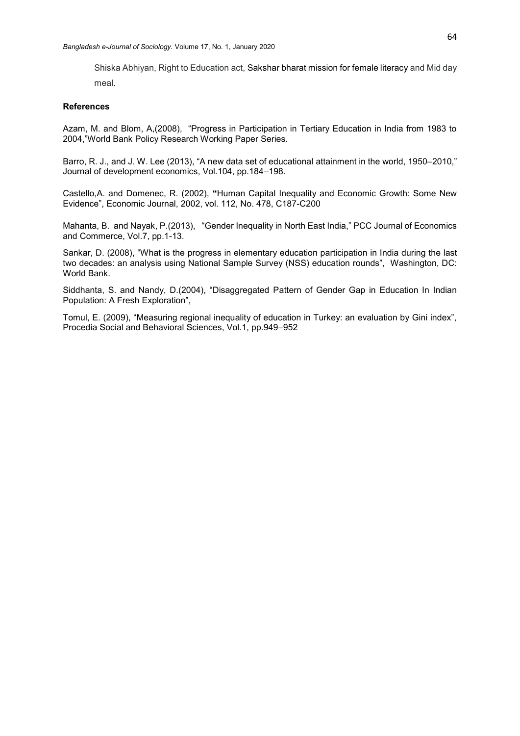Shiska Abhiyan, Right to Education act, Sakshar bharat mission for female literacy and Mid day meal.

#### **References**

Azam, M. and Blom, A,(2008), "Progress in Participation in Tertiary Education in India from 1983 to 2004,"World Bank Policy Research Working Paper Series.

Barro, R. J., and J. W. Lee (2013), "A new data set of educational attainment in the world, 1950–2010," Journal of development economics, Vol.104, pp.184–198.

Castello,A. and Domenec, R. (2002), **"**Human Capital Inequality and Economic Growth: Some New Evidence", [Economic Journal,](https://econpapers.repec.org/article/ecjeconjl/) 2002, vol. 112, No. 478, C187-C200

Mahanta, B. and Nayak, P.(2013), "Gender Inequality in North East India," PCC Journal of Economics and Commerce, Vol.7, pp.1-13.

Sankar, D. (2008), "What is the progress in elementary education participation in India during the last two decades: an analysis using National Sample Survey (NSS) education rounds", Washington, DC: World Bank.

Siddhanta, S. and Nandy, D.(2004), "Disaggregated Pattern of Gender Gap in Education In Indian Population: A Fresh Exploration",

Tomul, E. (2009), "Measuring regional inequality of education in Turkey: an evaluation by Gini index", Procedia Social and Behavioral Sciences, Vol.1, pp.949–952